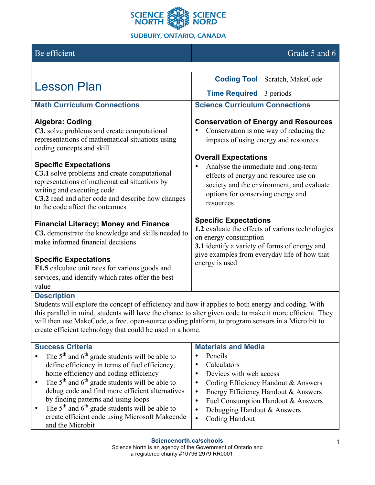

# Be efficient Grade 5 and 6

| <b>Lesson Plan</b>                                                                                                                                                                                                                                         | <b>Coding Tool</b>                                                                                                                                                                                                           | Scratch, MakeCode |  |
|------------------------------------------------------------------------------------------------------------------------------------------------------------------------------------------------------------------------------------------------------------|------------------------------------------------------------------------------------------------------------------------------------------------------------------------------------------------------------------------------|-------------------|--|
|                                                                                                                                                                                                                                                            | <b>Time Required</b>                                                                                                                                                                                                         | 3 periods         |  |
| <b>Math Curriculum Connections</b>                                                                                                                                                                                                                         | <b>Science Curriculum Connections</b>                                                                                                                                                                                        |                   |  |
| <b>Algebra: Coding</b><br>C3. solve problems and create computational<br>representations of mathematical situations using<br>coding concepts and skill                                                                                                     | <b>Conservation of Energy and Resources</b><br>Conservation is one way of reducing the<br>impacts of using energy and resources                                                                                              |                   |  |
| <b>Specific Expectations</b><br><b>C3.1</b> solve problems and create computational<br>representations of mathematical situations by<br>writing and executing code<br>C3.2 read and alter code and describe how changes<br>to the code affect the outcomes | <b>Overall Expectations</b><br>Analyse the immediate and long-term<br>effects of energy and resource use on<br>society and the environment, and evaluate<br>options for conserving energy and<br>resources                   |                   |  |
| <b>Financial Literacy; Money and Finance</b><br>C3. demonstrate the knowledge and skills needed to<br>make informed financial decisions                                                                                                                    | <b>Specific Expectations</b><br>1.2 evaluate the effects of various technologies<br>on energy consumption<br>3.1 identify a variety of forms of energy and<br>give examples from everyday life of how that<br>energy is used |                   |  |
| <b>Specific Expectations</b><br>F1.5 calculate unit rates for various goods and<br>services, and identify which rates offer the best<br>value<br><b>Docerintion</b>                                                                                        |                                                                                                                                                                                                                              |                   |  |

#### **Description**

Students will explore the concept of efficiency and how it applies to both energy and coding. With this parallel in mind, students will have the chance to alter given code to make it more efficient. They will then use MakeCode, a free, open-source coding platform, to program sensors in a Micro:bit to create efficient technology that could be used in a home.

| <b>Success Criteria</b>                                         | <b>Materials and Media</b>          |
|-----------------------------------------------------------------|-------------------------------------|
| • The $5th$ and $6th$ grade students will be able to            | Pencils                             |
| define efficiency in terms of fuel efficiency,                  | Calculators                         |
| home efficiency and coding efficiency                           | Devices with web access             |
| • The $5th$ and $6th$ grade students will be able to            | Coding Efficiency Handout & Answers |
| debug code and find more efficient alternatives                 | Energy Efficiency Handout & Answers |
| by finding patterns and using loops                             | Fuel Consumption Handout & Answers  |
| The $5th$ and $6th$ grade students will be able to<br>$\bullet$ | Debugging Handout & Answers         |
| create efficient code using Microsoft Makecode                  | <b>Coding Handout</b><br>$\bullet$  |
| and the Microbit                                                |                                     |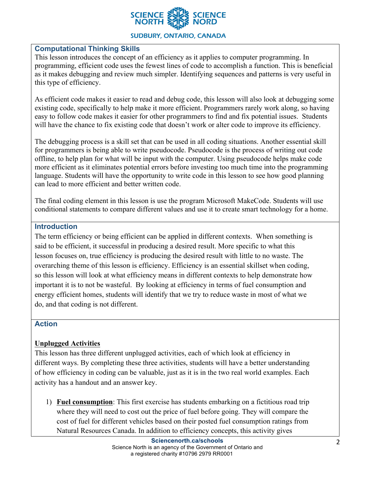

## **Computational Thinking Skills**

This lesson introduces the concept of an efficiency as it applies to computer programming. In programming, efficient code uses the fewest lines of code to accomplish a function. This is beneficial as it makes debugging and review much simpler. Identifying sequences and patterns is very useful in this type of efficiency.

As efficient code makes it easier to read and debug code, this lesson will also look at debugging some existing code, specifically to help make it more efficient. Programmers rarely work along, so having easy to follow code makes it easier for other programmers to find and fix potential issues. Students will have the chance to fix existing code that doesn't work or alter code to improve its efficiency.

The debugging process is a skill set that can be used in all coding situations. Another essential skill for programmers is being able to write pseudocode. Pseudocode is the process of writing out code offline, to help plan for what will be input with the computer. Using pseudocode helps make code more efficient as it eliminates potential errors before investing too much time into the programming language. Students will have the opportunity to write code in this lesson to see how good planning can lead to more efficient and better written code.

The final coding element in this lesson is use the program Microsoft MakeCode. Students will use conditional statements to compare different values and use it to create smart technology for a home.

## **Introduction**

The term efficiency or being efficient can be applied in different contexts. When something is said to be efficient, it successful in producing a desired result. More specific to what this lesson focuses on, true efficiency is producing the desired result with little to no waste. The overarching theme of this lesson is efficiency. Efficiency is an essential skillset when coding, so this lesson will look at what efficiency means in different contexts to help demonstrate how important it is to not be wasteful. By looking at efficiency in terms of fuel consumption and energy efficient homes, students will identify that we try to reduce waste in most of what we do, and that coding is not different.

#### **Action**

## **Unplugged Activities**

This lesson has three different unplugged activities, each of which look at efficiency in different ways. By completing these three activities, students will have a better understanding of how efficiency in coding can be valuable, just as it is in the two real world examples. Each activity has a handout and an answer key.

1) **Fuel consumption**: This first exercise has students embarking on a fictitious road trip where they will need to cost out the price of fuel before going. They will compare the cost of fuel for different vehicles based on their posted fuel consumption ratings from Natural Resources Canada. In addition to efficiency concepts, this activity gives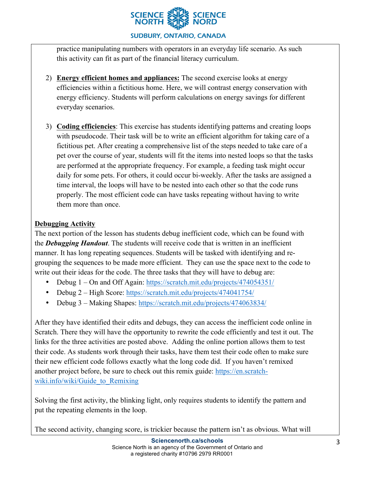

practice manipulating numbers with operators in an everyday life scenario. As such this activity can fit as part of the financial literacy curriculum.

- 2) **Energy efficient homes and appliances:** The second exercise looks at energy efficiencies within a fictitious home. Here, we will contrast energy conservation with energy efficiency. Students will perform calculations on energy savings for different everyday scenarios.
- 3) **Coding efficiencies**: This exercise has students identifying patterns and creating loops with pseudocode. Their task will be to write an efficient algorithm for taking care of a fictitious pet. After creating a comprehensive list of the steps needed to take care of a pet over the course of year, students will fit the items into nested loops so that the tasks are performed at the appropriate frequency. For example, a feeding task might occur daily for some pets. For others, it could occur bi-weekly. After the tasks are assigned a time interval, the loops will have to be nested into each other so that the code runs properly. The most efficient code can have tasks repeating without having to write them more than once.

# **Debugging Activity**

The next portion of the lesson has students debug inefficient code, which can be found with the *Debugging Handout*. The students will receive code that is written in an inefficient manner. It has long repeating sequences. Students will be tasked with identifying and regrouping the sequences to be made more efficient. They can use the space next to the code to write out their ideas for the code. The three tasks that they will have to debug are:

- Debug 1 On and Off Again: https://scratch.mit.edu/projects/474054351/
- Debug 2 High Score: https://scratch.mit.edu/projects/474041754/
- Debug 3 Making Shapes: https://scratch.mit.edu/projects/474063834/

After they have identified their edits and debugs, they can access the inefficient code online in Scratch. There they will have the opportunity to rewrite the code efficiently and test it out. The links for the three activities are posted above. Adding the online portion allows them to test their code. As students work through their tasks, have them test their code often to make sure their new efficient code follows exactly what the long code did. If you haven't remixed another project before, be sure to check out this remix guide: https://en.scratchwiki.info/wiki/Guide to Remixing

Solving the first activity, the blinking light, only requires students to identify the pattern and put the repeating elements in the loop.

The second activity, changing score, is trickier because the pattern isn't as obvious. What will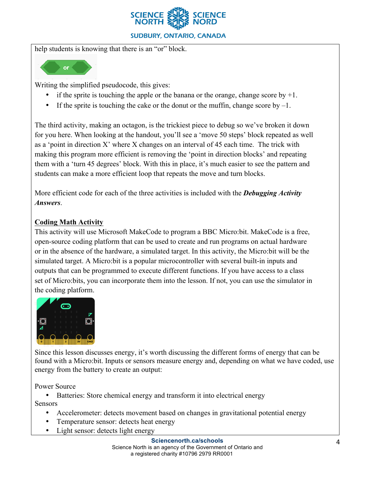

help students is knowing that there is an "or" block.



Writing the simplified pseudocode, this gives:

- if the sprite is touching the apple or the banana or the orange, change score by  $+1$ .
- If the sprite is touching the cake or the donut or the muffin, change score by  $-1$ .

The third activity, making an octagon, is the trickiest piece to debug so we've broken it down for you here. When looking at the handout, you'll see a 'move 50 steps' block repeated as well as a 'point in direction X' where X changes on an interval of 45 each time. The trick with making this program more efficient is removing the 'point in direction blocks' and repeating them with a 'turn 45 degrees' block. With this in place, it's much easier to see the pattern and students can make a more efficient loop that repeats the move and turn blocks.

More efficient code for each of the three activities is included with the *Debugging Activity Answers*.

# **Coding Math Activity**

This activity will use Microsoft MakeCode to program a BBC Micro:bit. MakeCode is a free, open-source coding platform that can be used to create and run programs on actual hardware or in the absence of the hardware, a simulated target. In this activity, the Micro:bit will be the simulated target. A Micro:bit is a popular microcontroller with several built-in inputs and outputs that can be programmed to execute different functions. If you have access to a class set of Micro:bits, you can incorporate them into the lesson. If not, you can use the simulator in the coding platform.



Since this lesson discusses energy, it's worth discussing the different forms of energy that can be found with a Micro:bit. Inputs or sensors measure energy and, depending on what we have coded, use energy from the battery to create an output:

Power Source

• Batteries: Store chemical energy and transform it into electrical energy

Sensors

- Accelerometer: detects movement based on changes in gravitational potential energy
- Temperature sensor: detects heat energy
- Light sensor: detects light energy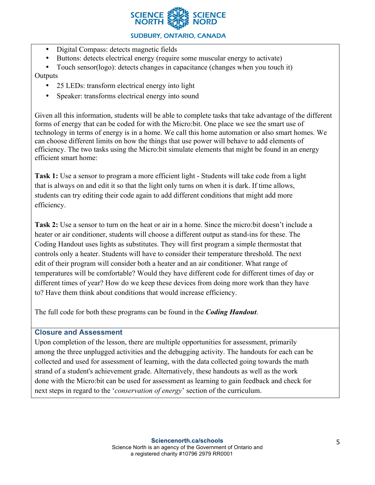

- Digital Compass: detects magnetic fields
- Buttons: detects electrical energy (require some muscular energy to activate)

• Touch sensor(logo): detects changes in capacitance (changes when you touch it)

# **Outputs**

- 25 LEDs: transform electrical energy into light
- Speaker: transforms electrical energy into sound

Given all this information, students will be able to complete tasks that take advantage of the different forms of energy that can be coded for with the Micro:bit. One place we see the smart use of technology in terms of energy is in a home. We call this home automation or also smart homes. We can choose different limits on how the things that use power will behave to add elements of efficiency. The two tasks using the Micro:bit simulate elements that might be found in an energy efficient smart home:

**Task 1:** Use a sensor to program a more efficient light - Students will take code from a light that is always on and edit it so that the light only turns on when it is dark. If time allows, students can try editing their code again to add different conditions that might add more efficiency.

**Task 2:** Use a sensor to turn on the heat or air in a home. Since the micro:bit doesn't include a heater or air conditioner, students will choose a different output as stand-ins for these. The Coding Handout uses lights as substitutes. They will first program a simple thermostat that controls only a heater. Students will have to consider their temperature threshold. The next edit of their program will consider both a heater and an air conditioner. What range of temperatures will be comfortable? Would they have different code for different times of day or different times of year? How do we keep these devices from doing more work than they have to? Have them think about conditions that would increase efficiency.

The full code for both these programs can be found in the *Coding Handout*.

# **Closure and Assessment**

Upon completion of the lesson, there are multiple opportunities for assessment, primarily among the three unplugged activities and the debugging activity. The handouts for each can be collected and used for assessment of learning, with the data collected going towards the math strand of a student's achievement grade. Alternatively, these handouts as well as the work done with the Micro:bit can be used for assessment as learning to gain feedback and check for next steps in regard to the '*conservation of energy*' section of the curriculum.